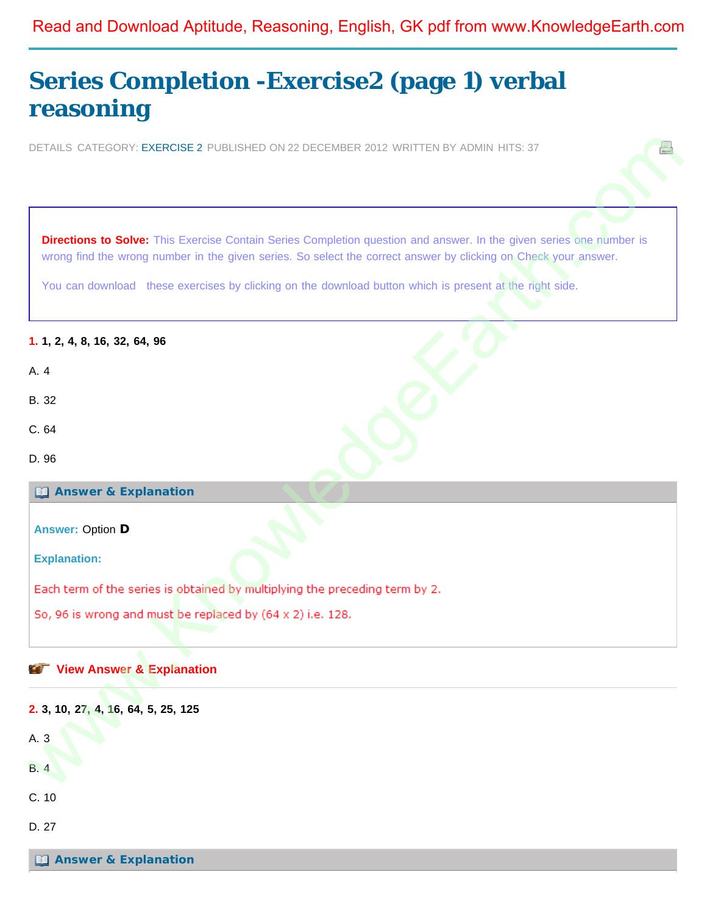## <span id="page-0-0"></span>Read and Download Aptitude, Reasoning, English, GK pdf from www.KnowledgeEarth.com

# **[Series Completion -Exercise2 \(page 1\) verbal](#page-0-0) [reasoning](#page-0-0)**

DETAILS CATEGORY: EXERCISE 2 PUBLISHED ON 22 DECEMBER 2012 WRITTEN BY ADMIN HITS: 37

**Directions to Solve:** This Exercise Contain Series Completion question and answer. In the given series one number is wrong find the wrong number in the given series. So select the correct answer by clicking on Check your answer.

You can download these exercises by clicking on the download button which is present at the right side.

#### **1. 1, 2, 4, 8, 16, 32, 64, 96**

- B. 32
- C. 64
- D. 96

**Answer & Explanation**

**Answer:** Option **D**

**Explanation:**

#### **View Answer & Explanation**



**[Answer & Explanation](javascript: void 0;)**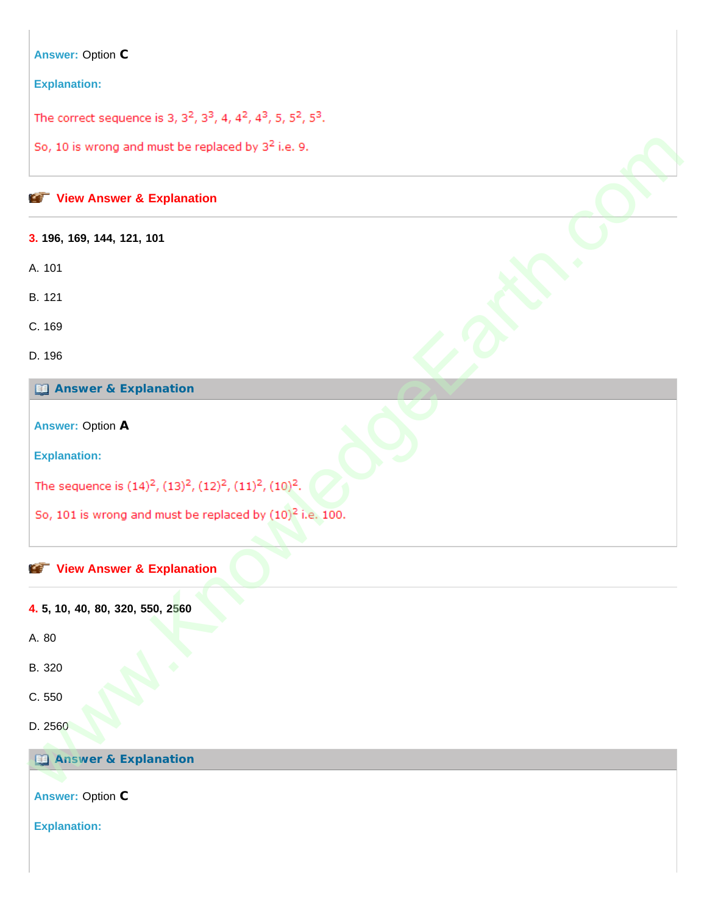#### **Answer:** Option **C**

#### **Explanation:**

The correct sequence is 3,  $3^2$ ,  $3^3$ , 4,  $4^2$ ,  $4^3$ , 5,  $5^2$ ,  $5^3$ .

#### **View Answer & Explanation**

**3. 196, 169, 144, 121, 101**

A. 101

B. 121

C. 169

D. 196

#### **Answer & Explanation**

**Answer:** Option **A**

**Explanation:**

So, 10 is wro[n](javascript: void 0;)g and must be replaced by  $3^2$  i.e. 9.<br>
Wew Answer & Explanation<br>
3.196, 169, 144, 121, 101<br>
A 101<br>
A 101<br>
A 101<br>
C. 169<br>
(2) Answer & Explanation<br>
Answer & Explanation<br>
So, 101 is wrong and must be replace

#### **View Answer & Explanation**

**4. 5, 10, 40, 80, 320, 550, 2560**

A. 80

B. 320

C. 550

D. 2560

**Answer & Explanation**

**Answer:** Option **C**

**Explanation:**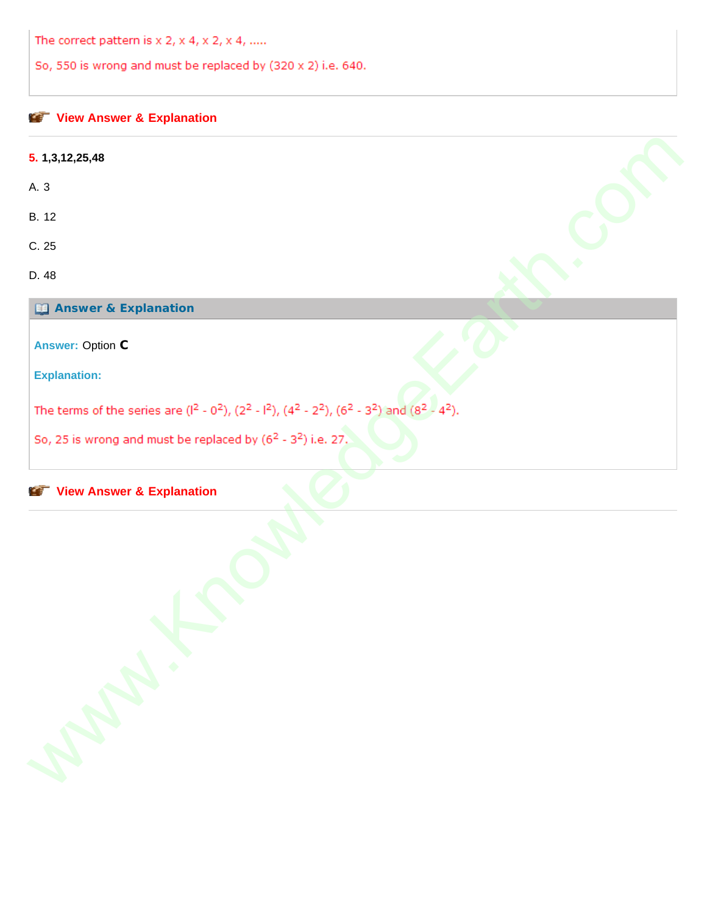The correct pattern is  $x$  2,  $x$  4,  $x$  2,  $x$  4, .....

So, 550 is wrong and must be replaced by (320 x 2) i.e. 640.

## **[View Answer & Explanation](javascript: void 0;)**

| 5. 1,3,12,25,48                                                                                                                                                                                      |  |
|------------------------------------------------------------------------------------------------------------------------------------------------------------------------------------------------------|--|
| A. 3                                                                                                                                                                                                 |  |
| B. 12                                                                                                                                                                                                |  |
| C.25                                                                                                                                                                                                 |  |
| D. 48                                                                                                                                                                                                |  |
| <b>Ed Answer &amp; Explanation</b>                                                                                                                                                                   |  |
| <b>Answer: Option C</b>                                                                                                                                                                              |  |
| <b>Explanation:</b>                                                                                                                                                                                  |  |
| The terms of the series are $(1^2 - 0^2)$ , $(2^2 - 1^2)$ , $(4^2 - 2^2)$ , $(6^2 - 3^2)$ and $(8^2 - 4^2)$ .<br>So, 25 is wrong and must be replaced by (6 <sup>2</sup> - 3 <sup>2</sup> ) i.e. 27. |  |
| <b>View Answer &amp; Explanation</b><br><b>CONTENT</b>                                                                                                                                               |  |
| Septer.                                                                                                                                                                                              |  |

#### **Explanation**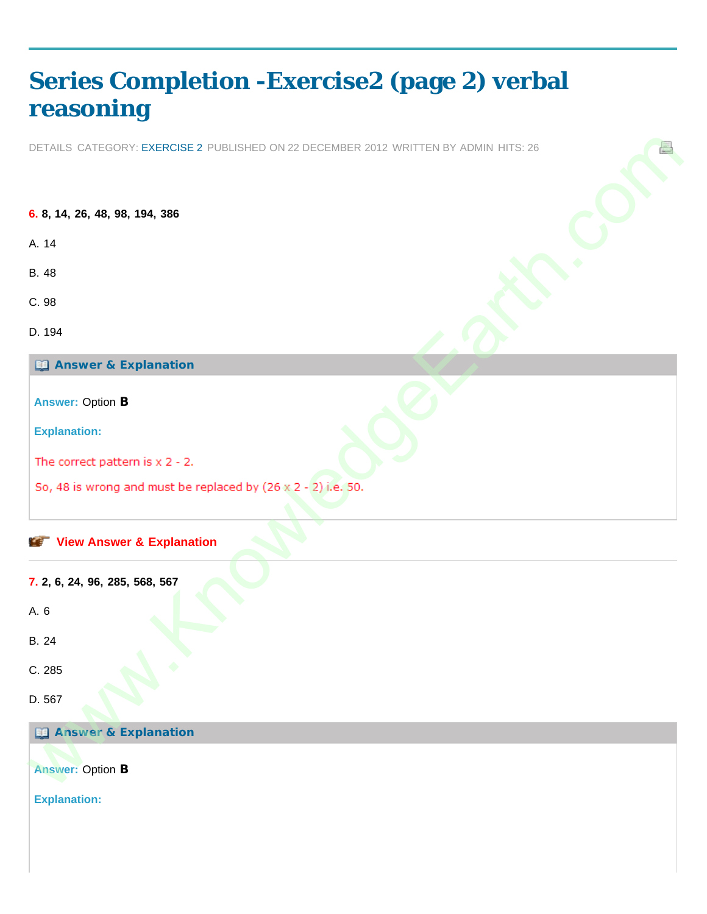# <span id="page-3-0"></span>**[Series Completion -Exercise2 \(page 2\) verbal](#page-3-0) [reasoning](#page-3-0)**

DETAILS CATEGORY: EXERCISE 2 PUBLISHED ON 22 DECEMBER 2012 WRITTEN BY ADMIN HITS: 26

**6. 8, 14, 26, 48, 98, 194, 386** A. 14 B. 48 C. 98 D. 194 **Answer & Explanation Answer:** Option **B Explanation: View Answer & Explanation 7. 2, 6, 24, 96, 285, 568, 567** A. 6 B. 24 C. 285 D. 567 **Answer & Explanation Answer:** Option **B Explanation:** DETAILS CATEGORY: EXERCISE 2 PUBLISIED CN 22 DECEMBER 2012 VRETTEN BY ACMIN LITS: 26<br>6. 8, 14, 26, 48, 99, 194, 386<br>6. 14<br>C. 98<br>C. 98<br>C. 28<br>C. 28<br>Explanation:<br>The correct pattern is x 2 - 2.<br>50, 48 is wrong and [m](#page-3-0)ust be rep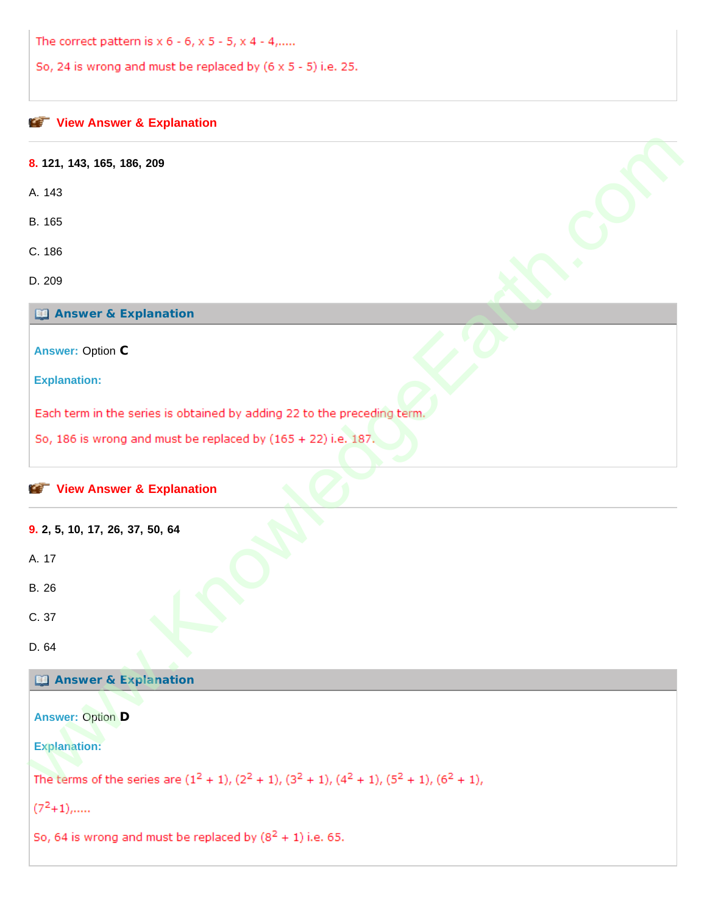The correct pattern is x 6 - 6, x 5 - 5, x 4 - 4,.....

So, 24 is wrong and must be replaced by (6 x 5 - 5) i.e. 25.

| 8. 121, 143, 165, 186, 209                                                                                      |  |
|-----------------------------------------------------------------------------------------------------------------|--|
| A. 143                                                                                                          |  |
| B. 165                                                                                                          |  |
| C. 186                                                                                                          |  |
| D. 209                                                                                                          |  |
| <b>Ed Answer &amp; Explanation</b>                                                                              |  |
| <b>Answer: Option C</b>                                                                                         |  |
| <b>Explanation:</b>                                                                                             |  |
| Each term in the series is obtained by adding 22 to the preceding term.                                         |  |
| So, 186 is wrong and must be replaced by $(165 + 22)$ i.e. 187.                                                 |  |
| View Answer & Explanation<br>9. 2, 5, 10, 17, 26, 37, 50, 64                                                    |  |
| A. 17                                                                                                           |  |
| B. 26                                                                                                           |  |
| C. 37                                                                                                           |  |
|                                                                                                                 |  |
| D. 64<br>▼                                                                                                      |  |
| <b>Ed Answer &amp; Explanation</b>                                                                              |  |
| <b>Answer: Option D</b>                                                                                         |  |
| <b>Explanation:</b>                                                                                             |  |
| The terms of the series are $(1^2 + 1)$ , $(2^2 + 1)$ , $(3^2 + 1)$ , $(4^2 + 1)$ , $(5^2 + 1)$ , $(6^2 + 1)$ , |  |
| $(7^2+1)$ ,                                                                                                     |  |
| So, 64 is wrong and must be replaced by $(8^2 + 1)$ i.e. 65.                                                    |  |
|                                                                                                                 |  |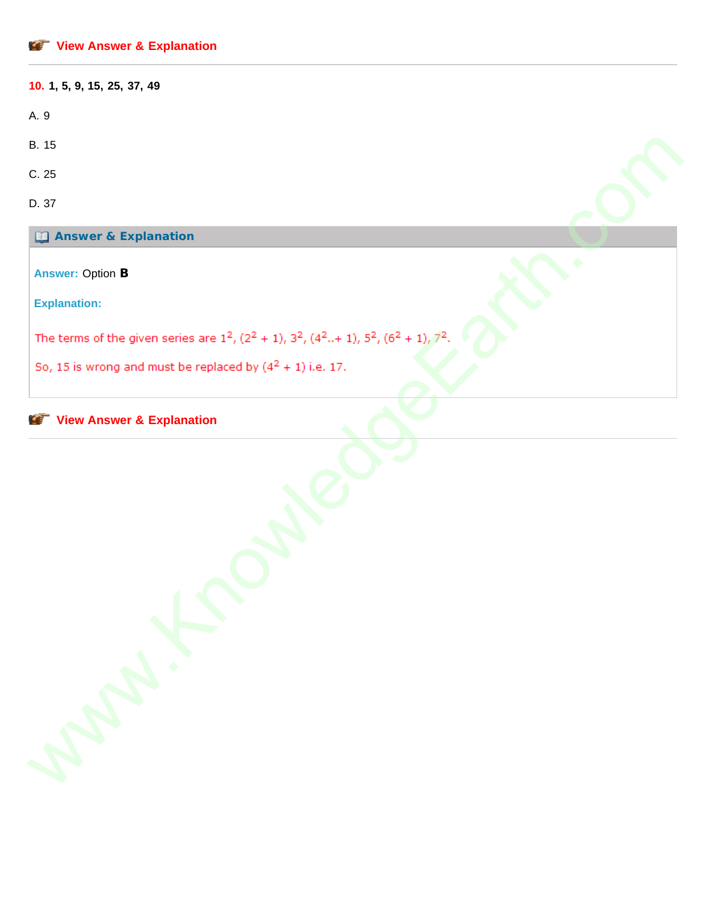| 10. 1, 5, 9, 15, 25, 37, 49                                                                                 |
|-------------------------------------------------------------------------------------------------------------|
| A. 9                                                                                                        |
| B. 15                                                                                                       |
| C.25                                                                                                        |
| D. 37                                                                                                       |
| <b>Ed Answer &amp; Explanation</b>                                                                          |
| <b>Answer: Option B</b>                                                                                     |
| <b>Explanation:</b>                                                                                         |
|                                                                                                             |
| The terms of the given series are $1^2$ , $(2^2 + 1)$ , $3^2$ , $(4^2 + 1)$ , $5^2$ , $(6^2 + 1)$ , $7^2$ . |
| So, 15 is wrong and must be replaced by $(4^2 + 1)$ i.e. 17.                                                |
| View Answer & Explanation<br>APAILLE R                                                                      |
|                                                                                                             |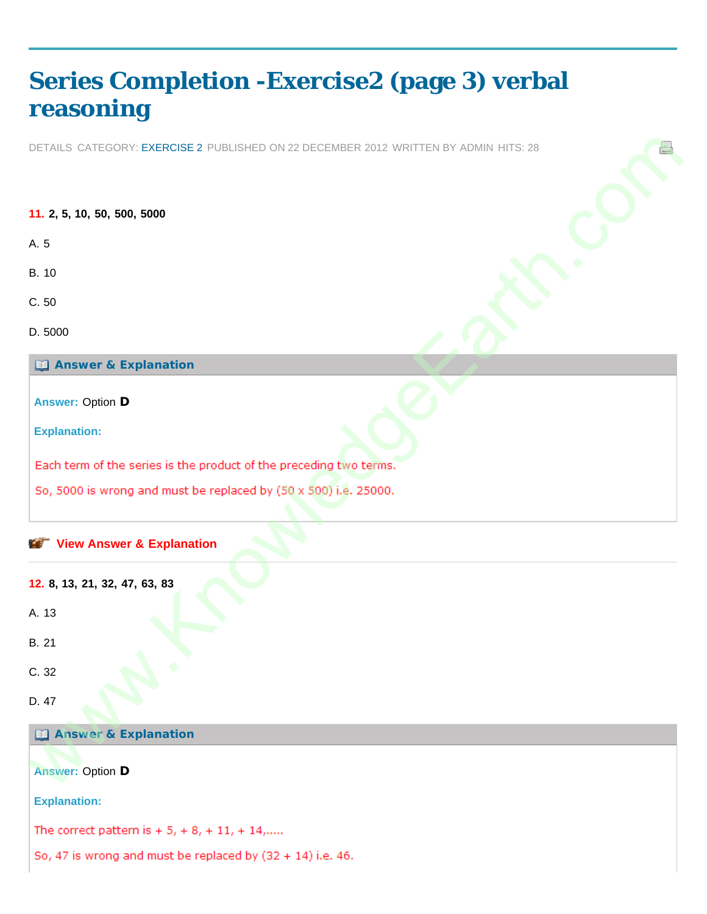# <span id="page-6-0"></span>**[Series Completion -Exercise2 \(page 3\) verbal](#page-6-0) [reasoning](#page-6-0)**

DETAILS CATEGORY: EXERCISE 2 PUBLISHED ON 22 DECEMBER 2012 WRITTEN BY ADMIN HITS: 28

**11. 2, 5, 10, 50, 500, 5000** A. 5 B. 10 C. 50 D. 5000 **Answer & Explanation Answer:** Option **D Explanation: View Answer & Explanation 12. 8, 13, 21, 32, 47, 63, 83** A. 13 DETAILS CATEGORY: EXERCISE 2 PUBLISHED CN 22 DECEMBER 2012 VRETTEN BY ACMIN HITS: 26<br>11. 2. 5. 10<br>6. 10<br>C. 50<br>C. 60<br>C. 60<br>C. 60<br>C. 60<br>Explanation:<br>Explanation:<br>Explanation:<br>So, 5000 is wrong and [m](#page-6-0)ust be replaced by (50 x 5

B. 21

C. 32

D. 47

**Answer & Explanation**

**Answer:** Option **D**

**Explanation:**

The correct pattern is  $+ 5, + 8, + 11, + 14,$ .....

So, 47 is wrong and must be replaced by  $(32 + 14)$  i.e. 46.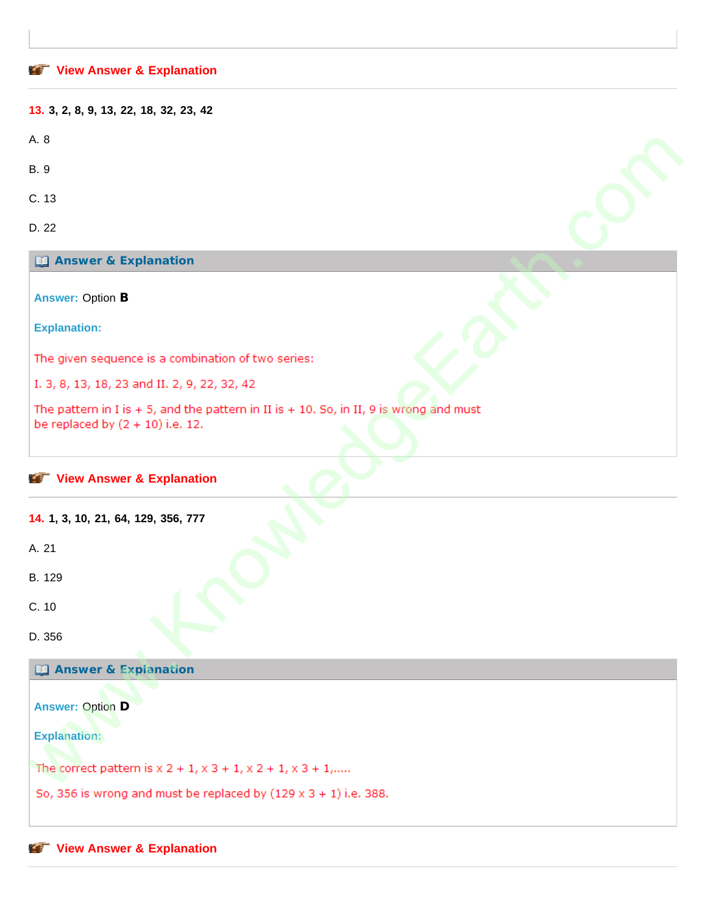#### **[View Answer & Explanation](javascript: void 0;)**

| 13. 3, 2, 8, 9, 13, 22, 18, 32, 23, 42                                                                                       |  |
|------------------------------------------------------------------------------------------------------------------------------|--|
| A. 8                                                                                                                         |  |
| <b>B.</b> 9                                                                                                                  |  |
| C. 13                                                                                                                        |  |
| D. 22                                                                                                                        |  |
| <b>Ed Answer &amp; Explanation</b>                                                                                           |  |
| <b>Answer: Option B</b>                                                                                                      |  |
| <b>Explanation:</b>                                                                                                          |  |
| The given sequence is a combination of two series:                                                                           |  |
| I. 3, 8, 13, 18, 23 and II. 2, 9, 22, 32, 42                                                                                 |  |
| The pattern in I is + 5, and the pattern in II is + 10. So, in II, 9 is wrong and must<br>be replaced by $(2 + 10)$ i.e. 12. |  |
|                                                                                                                              |  |
| View Answer & Explanation                                                                                                    |  |
| 14. 1, 3, 10, 21, 64, 129, 356, 777                                                                                          |  |
| A. 21                                                                                                                        |  |
| B. 129                                                                                                                       |  |
| C. 10                                                                                                                        |  |
|                                                                                                                              |  |
| D. 356                                                                                                                       |  |
| <b>El Answer &amp; Explanation</b>                                                                                           |  |
| <b>Answer: Option D</b>                                                                                                      |  |
|                                                                                                                              |  |
| <b>Explanation:</b>                                                                                                          |  |
| The correct pattern is $x$ 2 + 1, $x$ 3 + 1, $x$ 2 + 1, $x$ 3 + 1,                                                           |  |
|                                                                                                                              |  |

## **Answer & Explanation**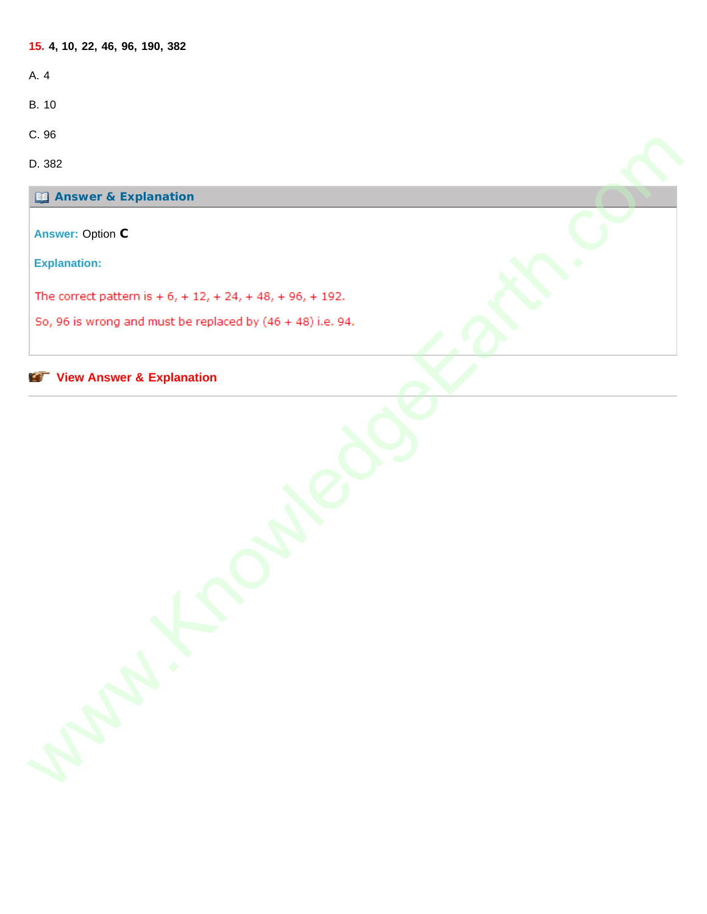**15. 4, 10, 22, 46, 96, 190, 382** A. 4 B. 10 C. 96 D. 382 **Answer & Explanation Answer:** Option **C Explanation:** www.KnowledgeEarth.com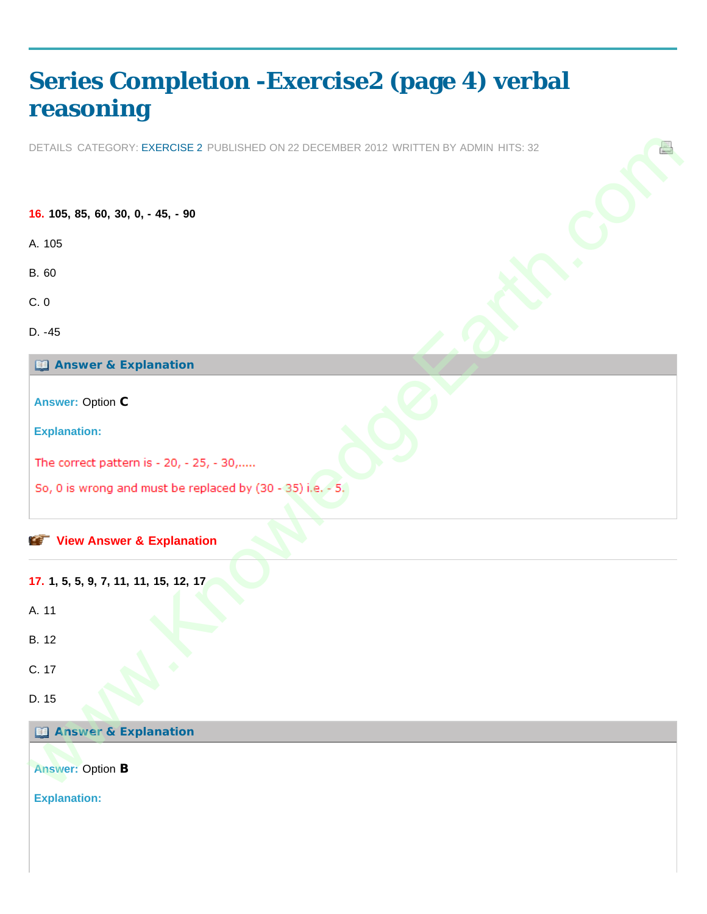# <span id="page-9-0"></span>**[Series Completion -Exercise2 \(page 4\) verbal](#page-9-0) [reasoning](#page-9-0)**

DETAILS CATEGORY: EXERCISE 2 PUBLISHED ON 22 DECEMBER 2012 WRITTEN BY ADMIN HITS: 32

**16. 105, 85, 60, 30, 0, - 45, - 90** A. 105 B. 60 C. 0 D. -45 **Answer & Explanation Answer:** Option **C Explanation: View Answer & Explanation 17. 1, 5, 5, 9, 7, 11, 11, 15, 12, 17** A. 11 B. 12 C. 17 D. 15 **Answer & Explanation Answer:** Option **B Explanation:** DETAILS CATEGORY: EXERCISE 2 PUBLISIED CN 22 DECEMBER 2012 VRETTEN BY ACMIN LITS: 12<br>16. 105, 85, 60, 30, 0, - 45, - 90<br>16. 105<br>C. 0<br>C. 0<br>C. 16. 16<br>Explanation:<br>The correct pattern is - 20, - 25, - 30,....<br>So, 0 is wrong a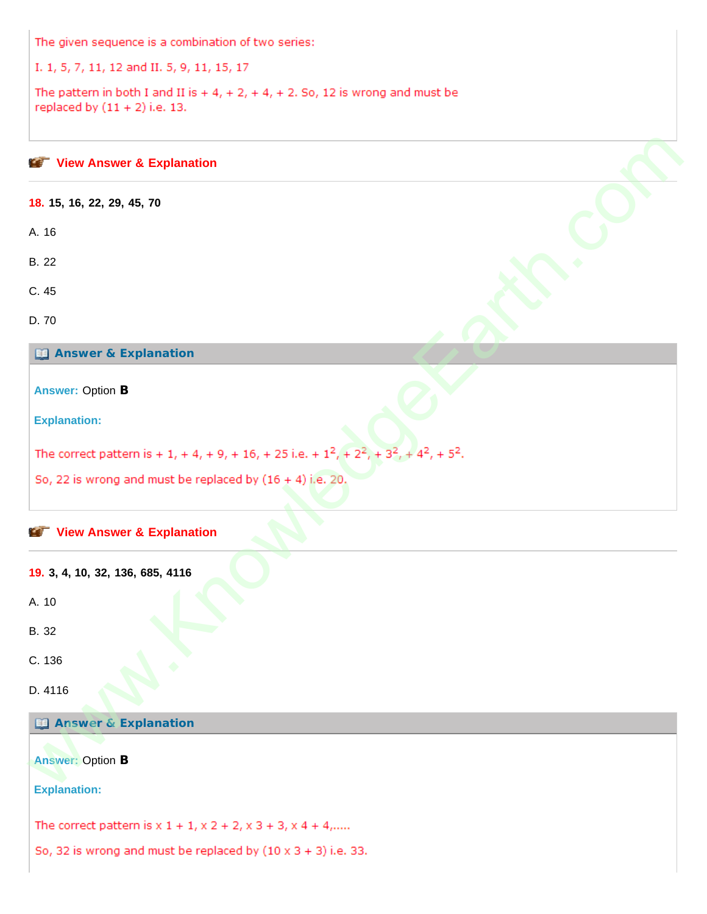The given sequence is a combination of two series:

I. 1, 5, 7, 11, 12 and II. 5, 9, 11, 15, 17

The pattern in both I and II is  $+4$ ,  $+2$ ,  $+4$ ,  $+2$ . So, 12 is wrong and must be replaced by  $(11 + 2)$  i.e. 13.

| View Answer & Explanation                                                                               |  |
|---------------------------------------------------------------------------------------------------------|--|
| 18. 15, 16, 22, 29, 45, 70                                                                              |  |
| A. 16                                                                                                   |  |
| <b>B.</b> 22                                                                                            |  |
| C. 45                                                                                                   |  |
| D. 70                                                                                                   |  |
| <b>Explanation</b>                                                                                      |  |
| <b>Answer: Option B</b>                                                                                 |  |
| <b>Explanation:</b>                                                                                     |  |
| The correct pattern is + 1, + 4, + 9, + 16, + 25 i.e. + $1^2$ , + $2^2$ , + $3^2$ , + $4^2$ , + $5^2$ . |  |
| So, 22 is wrong and must be replaced by $(16 + 4)$ i.e. 20.                                             |  |
| View Answer & Explanation                                                                               |  |
| 19. 3, 4, 10, 32, 136, 685, 4116                                                                        |  |
| A. 10                                                                                                   |  |
| B. 32                                                                                                   |  |
| C. 136                                                                                                  |  |
| D. 4116                                                                                                 |  |
| <b>44 Answer &amp; Explanation</b>                                                                      |  |
| <b>Answer: Option B</b>                                                                                 |  |
| <b>Explanation:</b>                                                                                     |  |
| The correct pattern is $x 1 + 1$ , $x 2 + 2$ , $x 3 + 3$ , $x 4 + 4$ ,                                  |  |
| So, 32 is wrong and must be replaced by $(10 \times 3 + 3)$ i.e. 33.                                    |  |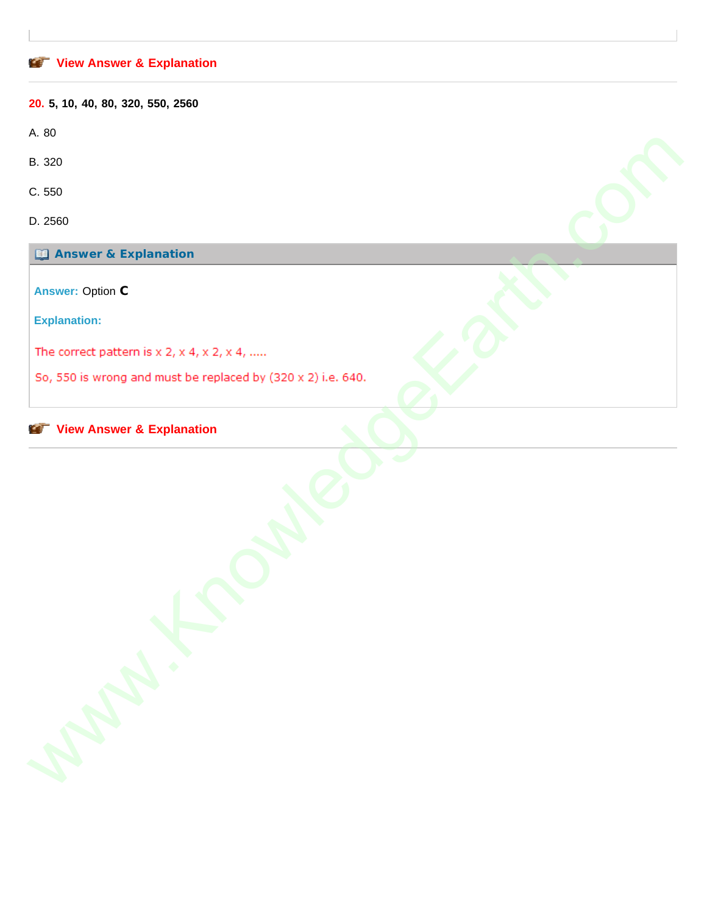## **[View Answer & Explanation](javascript: void 0;)**

**20. 5, 10, 40, 80, 320, 550, 2560**

A. 80

B. 320

C. 550

D. 2560

**Answer & Explanation**

**Answer:** Option **C**

**Explanation:**

R. 201<br>
B. 201<br>
C. 500<br>
D. Answer: Option C<br>
Answer: Option C<br>
Explanation:<br>
The correct pattern is x 2, x 4, x 2, x 4, ......<br>
So, 550 is wrom and must be replaced by (320 x 2) i.e. 640.<br>
C. C. C. C. C. C. C. C. C. C. C.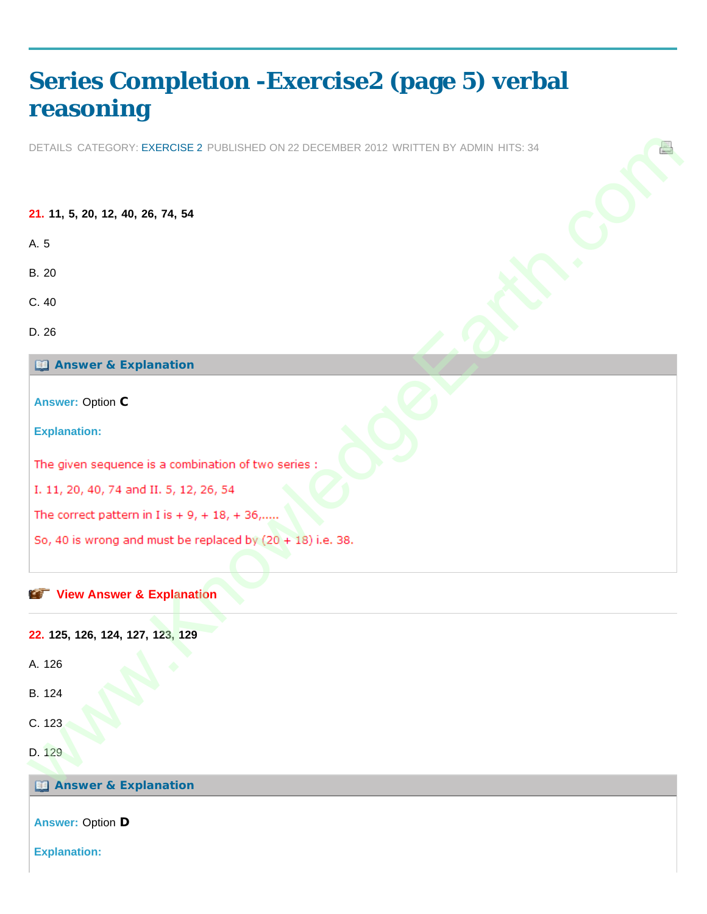# <span id="page-12-0"></span>**[Series Completion -Exercise2 \(page 5\) verbal](#page-12-0) [reasoning](#page-12-0)**

DETAILS CATEGORY: EXERCISE 2 PUBLISHED ON 22 DECEMBER 2012 WRITTEN BY ADMIN HITS: 34

**21. 11, 5, 20, 12, 40, 26, 74, 54** A. 5 B. 20 C. 40 D. 26 **Answer & Explanation Answer:** Option **C Explanation: View Answer & Explanation 22. 125, 126, 124, 127, 123, 129** DETAILS CATEGORY: EXERCISE 2 PUBLISIED CN 22 DECEMBER 2012 VRETTEN BY ACMIN LITS: 34<br>21. 11, 5, 20. 12, 40, 20, 74, 54<br>6. 20<br>C. 40<br>C. 20<br>C. 20<br>C. 20<br>C. 20<br>Explanation:<br>The given sequence is a combination of t[w](javascript: void 0;)o series :<br>1.

A. 126

- B. 124
- C. 123
- 
- D. 129

**Answer & Explanation** 

**Answer:** Option **D**

**Explanation:**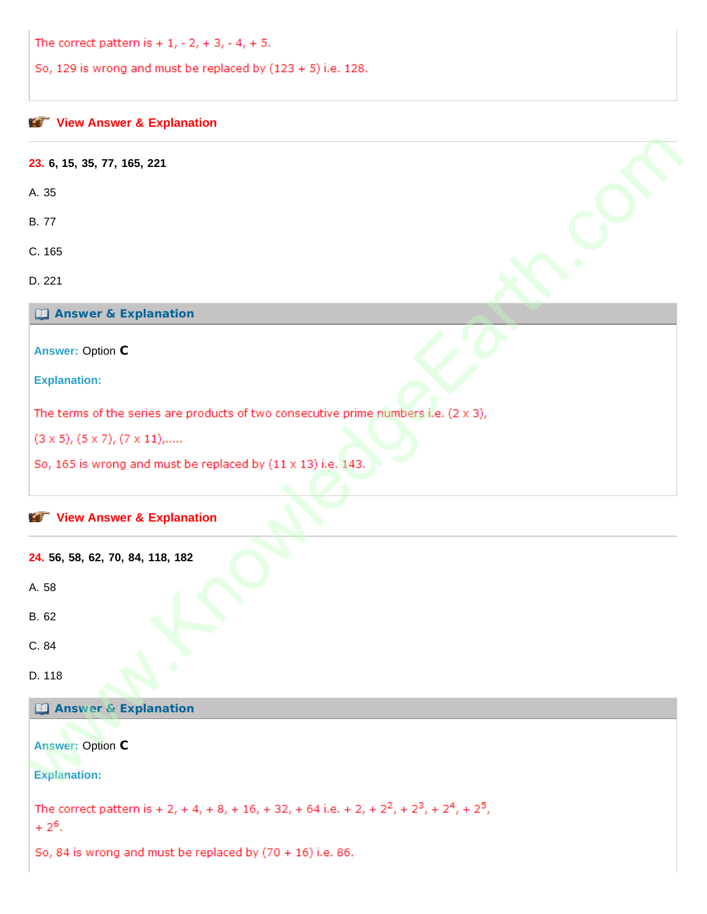The correct pattern is  $+1, -2, +3, -4, +5.$ 

So, 129 is wrong and must be replaced by  $(123 + 5)$  i.e. 128.

| 23. 6, 15, 35, 77, 165, 221                                                                                            |  |
|------------------------------------------------------------------------------------------------------------------------|--|
| A. 35                                                                                                                  |  |
| <b>B.77</b>                                                                                                            |  |
| C. 165                                                                                                                 |  |
| D. 221                                                                                                                 |  |
| <b>Ed Answer &amp; Explanation</b>                                                                                     |  |
| <b>Answer: Option C</b>                                                                                                |  |
| <b>Explanation:</b>                                                                                                    |  |
| The terms of the series are products of two consecutive prime numbers i.e. $(2 \times 3)$ ,                            |  |
| $(3 \times 5), (5 \times 7), (7 \times 11), \ldots$                                                                    |  |
| So, 165 is wrong and must be replaced by (11 x 13) i.e. 143.                                                           |  |
| View Answer & Explanation                                                                                              |  |
| 24. 56, 58, 62, 70, 84, 118, 182                                                                                       |  |
| A. 58                                                                                                                  |  |
| B. 62                                                                                                                  |  |
| C. 84<br>▼                                                                                                             |  |
| ۰<br>D. 118                                                                                                            |  |
| <b>Ed Answer &amp; Explanation</b>                                                                                     |  |
| <b>Answer: Option C</b>                                                                                                |  |
| <b>Explanation:</b>                                                                                                    |  |
| The correct pattern is + 2, + 4, + 8, + 16, + 32, + 64 i.e. + 2, + $2^2$ , + $2^3$ , + $2^4$ , + $2^5$ ,<br>$+2^{6}$ . |  |
| So, 84 is wrong and must be replaced by $(70 + 16)$ i.e. 86.                                                           |  |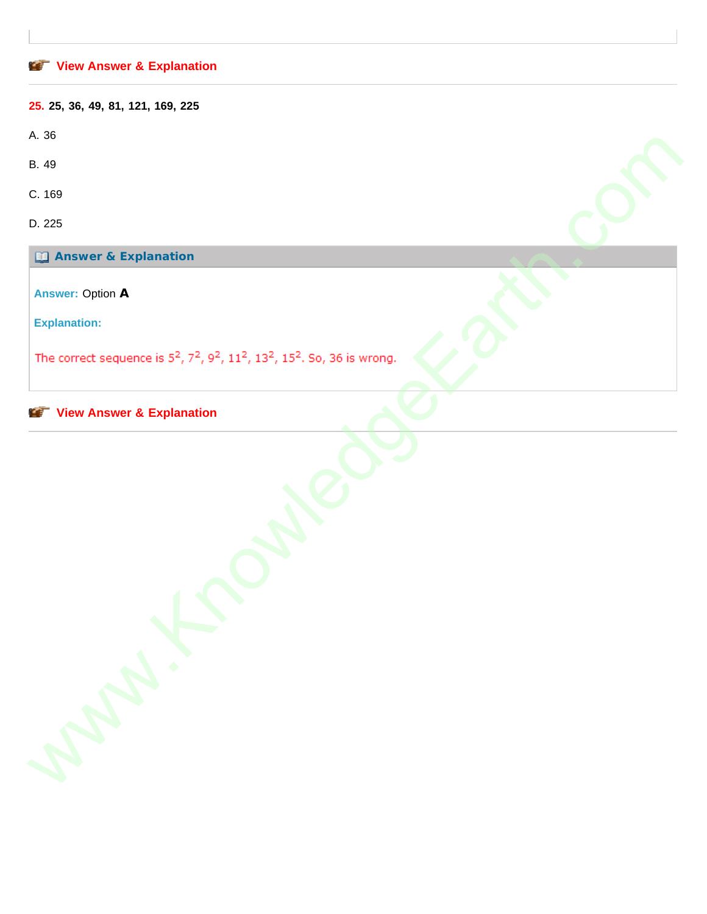# **[View Answer & Explanation](javascript: void 0;) 25. 25, 36, 49, 81, 121, 169, 225** A. 36 B. 49 C. 169 D. 225 **Answer & Explanation Answer:** Option **A Explanation:** www.KnowledgeEarth.com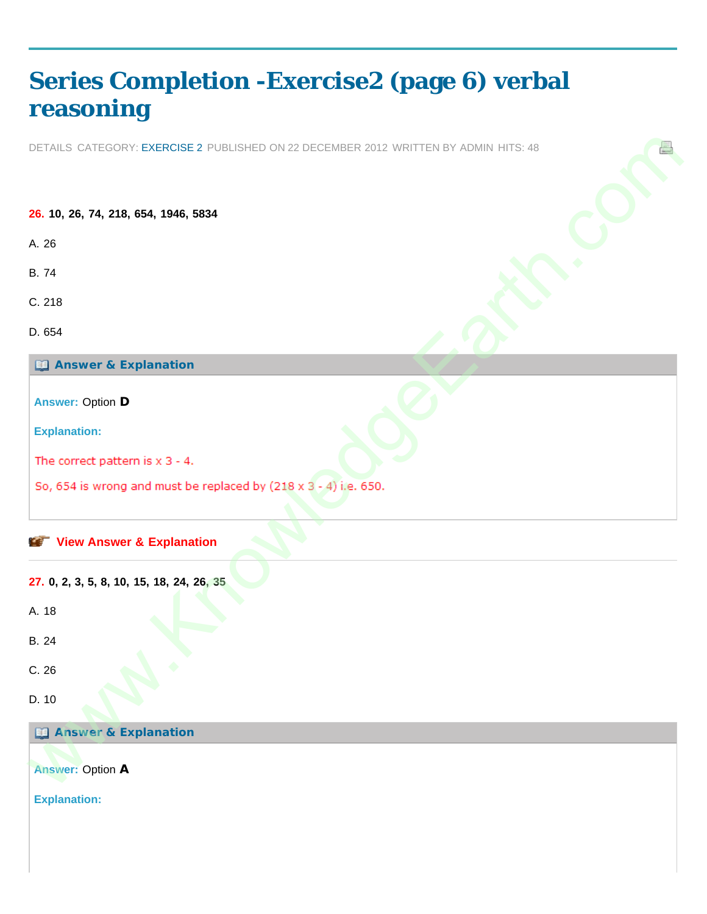# <span id="page-15-0"></span>**[Series Completion -Exercise2 \(page 6\) verbal](#page-15-0) [reasoning](#page-15-0)**

DETAILS CATEGORY: EXERCISE 2 PUBLISHED ON 22 DECEMBER 2012 WRITTEN BY ADMIN HITS: 48

**26. 10, 26, 74, 218, 654, 1946, 5834** A. 26 B. 74 C. 218 D. 654 **Answer & Explanation Answer:** Option **D Explanation: View Answer & Explanation 27. 0, 2, 3, 5, 8, 10, 15, 18, 24, 26, 35** A. 18 B. 24 C. 26 D. 10 **Answer & Explanation Answer:** Option **A Explanation:** DETAILS CATEGORY: EXERCISE 2 PUBLISIED CN 22 DECEMBER 2012 VRITTEN BY ACMIN LITS: 46<br>28. 10, 26, 74, 218, 654, 1946, 6534<br>2. 8. 74<br>C. 218<br>C. 218<br>C. 21<br>C. 21<br>Explanation:<br>The correct pattern is x 3 - 4.<br>So, 654 is wrong and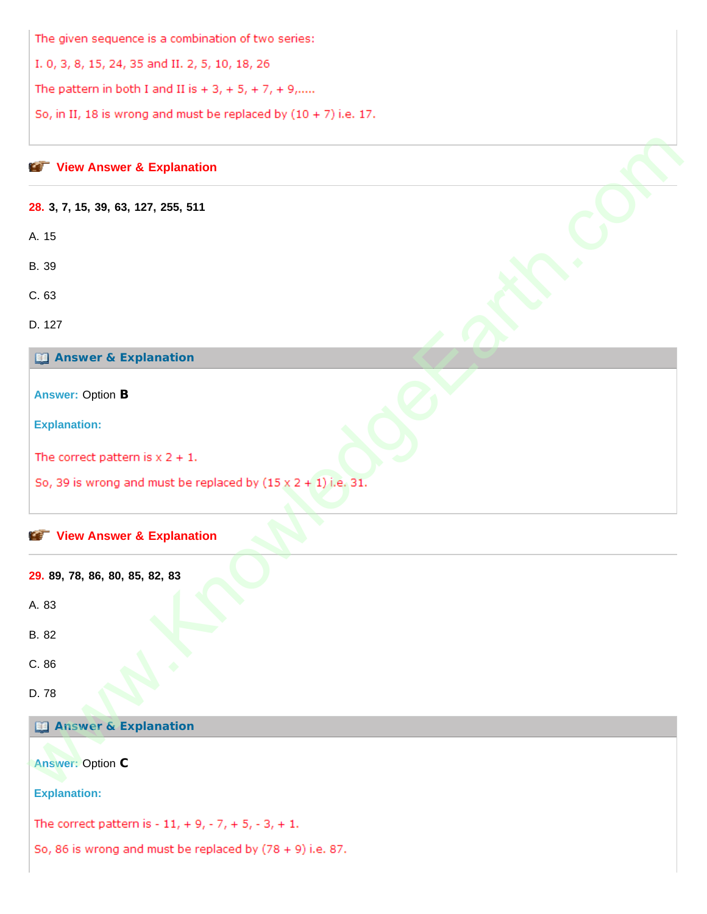The given sequence is a combination of two series:

I. 0, 3, 8, 15, 24, 35 and II. 2, 5, 10, 18, 26

The pattern in both I and II is  $+3$ ,  $+5$ ,  $+7$ ,  $+9$ ,....

So, in II, 18 is wrong and must be replaced by  $(10 + 7)$  i.e. 17.

#### **View Answer & Explanation**

#### **28. 3, 7, 15, 39, 63, 127, 255, 511**

A. 15

B. 39

C. 63

D. 127

**Answer & Explanation**

**Answer:** Option **B**

**Explanation:**

We We Answer & Explanation<br>
28. 3, 7, 15, 39, 63, 127, 255, 511<br>
A. 15<br>
A. 3<br>
C. 63<br>
D. 27<br>  $\Box$  Answer & Explanation<br>
Answer & Explanation<br>
Explanation:<br>
Explanation<br>
29. 89, 70, 86, 80, 85, 82, 83<br>
A. 83<br>
C. 66<br>
D. 78<br>

#### **View Answer & Explanation**

**29. 89, 78, 86, 80, 85, 82, 83**

A. 83

B. 82

C. 86

D. 78

**Answer & Explanation**

**Answer:** Option **C**

**Explanation:**

The correct pattern is  $-11$ ,  $+9$ ,  $-7$ ,  $+5$ ,  $-3$ ,  $+1$ .

So, 86 is wrong and must be replaced by  $(78 + 9)$  i.e. 87.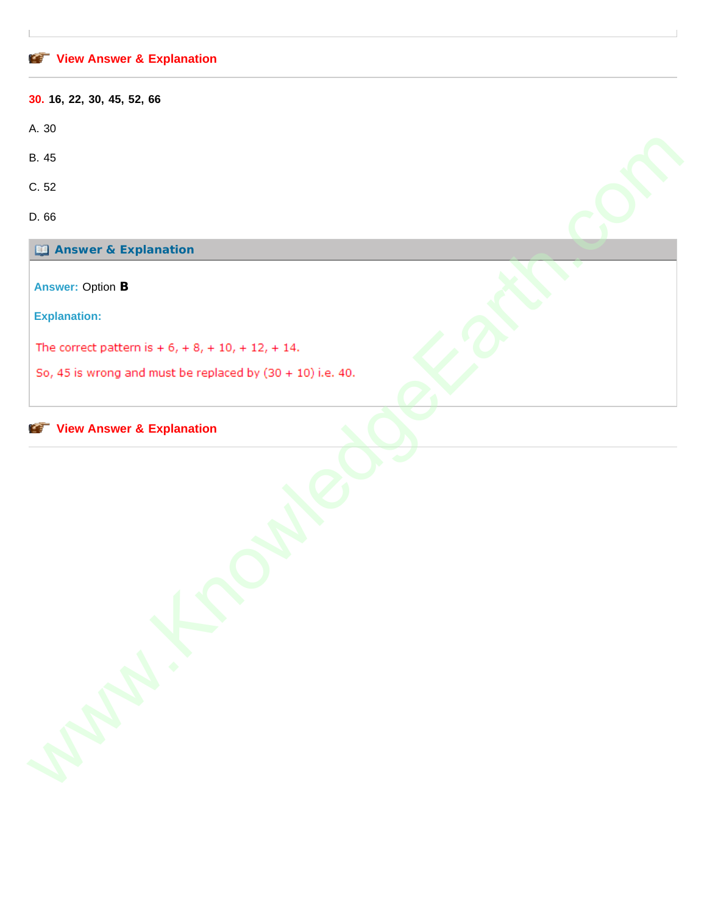## **[View Answer & Explanation](javascript: void 0;)**

| 30. 16, 22, 30, 45, 52, 66                                        |  |
|-------------------------------------------------------------------|--|
| A. 30                                                             |  |
| B. 45                                                             |  |
| C.52                                                              |  |
| D. 66                                                             |  |
| <b>Ed Answer &amp; Explanation</b>                                |  |
| <b>Answer: Option B</b>                                           |  |
| <b>Explanation:</b>                                               |  |
| The correct pattern is $+ 6$ , $+ 8$ , $+ 10$ , $+ 12$ , $+ 14$ . |  |
| So, 45 is wrong and must be replaced by $(30 + 10)$ i.e. 40.      |  |
| <b>View Answer &amp; Explanation</b><br><b>KET</b>                |  |
| Maple 12                                                          |  |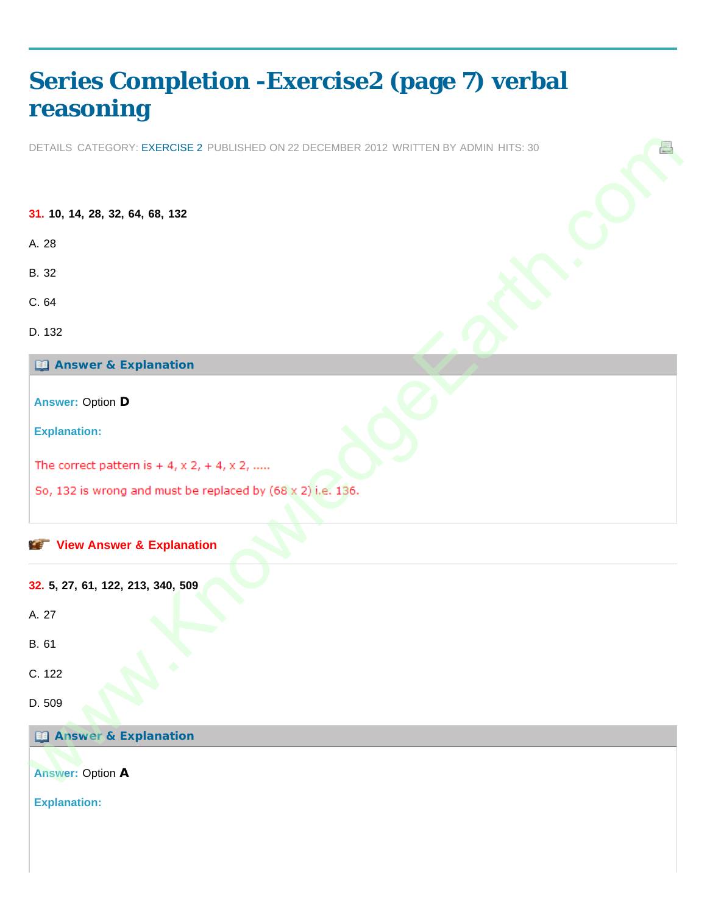# <span id="page-18-0"></span>**[Series Completion -Exercise2 \(page 7\) verbal](#page-18-0) [reasoning](#page-18-0)**

DETAILS CATEGORY: EXERCISE 2 PUBLISHED ON 22 DECEMBER 2012 WRITTEN BY ADMIN HITS: 30

**31. 10, 14, 28, 32, 64, 68, 132** A. 28 B. 32 C. 64 D. 132 **Answer & Explanation Answer:** Option **D Explanation: View Answer & Explanation 32. 5, 27, 61, 122, 213, 340, 509** A. 27 B. 61 C. 122 D. 509 **Answer & Explanation Answer:** Option **A Explanation:** DETAILS CATEGORY: EXERCISE 2 PUBLISIED CN 22 DECEMBER 2012 VRETTEN BY ACMIN LITS: 30<br>31. 10, 14, 28, 32, 64, 68, 132<br>A. 28<br>C. 64<br>C. 64<br>C. 7<br>C. 22<br>E. A Azy<br>Wew Answer & Explanation<br>25. 4, 27, 61, 122, 213, 340, 509<br>S. 132 i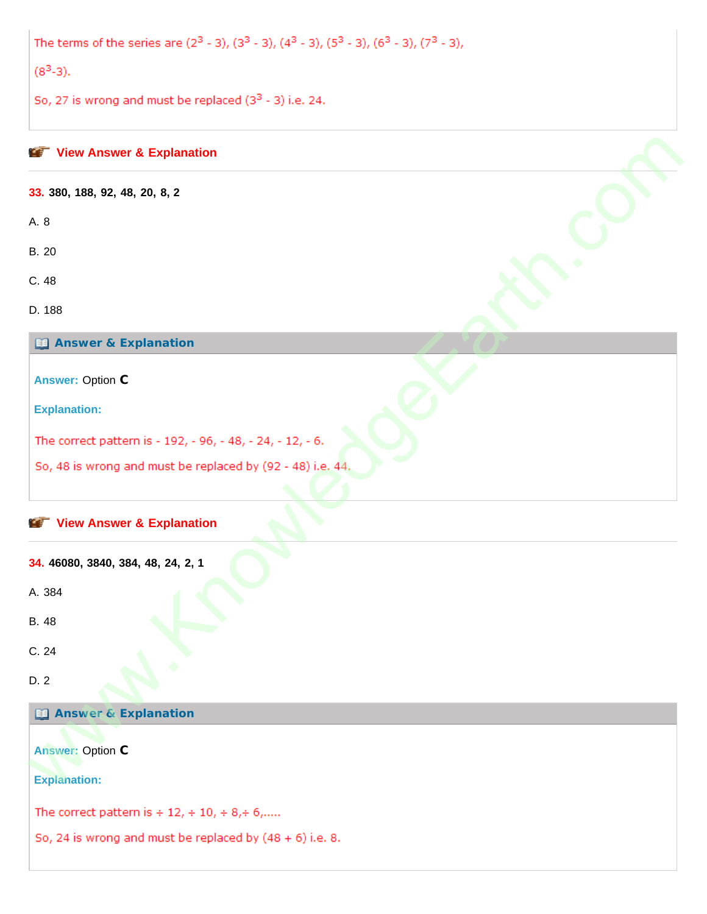The terms of the series are  $(2^3 - 3)$ ,  $(3^3 - 3)$ ,  $(4^3 - 3)$ ,  $(5^3 - 3)$ ,  $(6^3 - 3)$ ,  $(7^3 - 3)$ ,

 $(8<sup>3</sup>-3).$ 

So, 27 is wrong and must be replaced  $(3^3 - 3)$  i.e. 24.

| View Answer & Explanation                                  |
|------------------------------------------------------------|
| 33. 380, 188, 92, 48, 20, 8, 2                             |
| A. 8                                                       |
| <b>B.</b> 20                                               |
| C. 48                                                      |
| D. 188                                                     |
| <b>Ed Answer &amp; Explanation</b>                         |
| <b>Answer: Option C</b>                                    |
| <b>Explanation:</b>                                        |
| The correct pattern is - 192, - 96, - 48, - 24, - 12, - 6. |
| So, 48 is wrong and must be replaced by (92 - 48) i.e. 44. |
|                                                            |
| View Answer & Explanation                                  |
| 34. 46080, 3840, 384, 48, 24, 2, 1                         |
| A. 384                                                     |
| <b>B.</b> 48                                               |
| C. 24                                                      |
| D. 2                                                       |
| <b>Ed Answer &amp; Explanation</b>                         |
| <b>Answer: Option C</b>                                    |
| <b>Explanation:</b>                                        |
| The correct pattern is $+ 12 + 10 + 8 + 6$ ,               |
| So, 24 is wrong and must be replaced by $(48 + 6)$ i.e. 8. |
|                                                            |